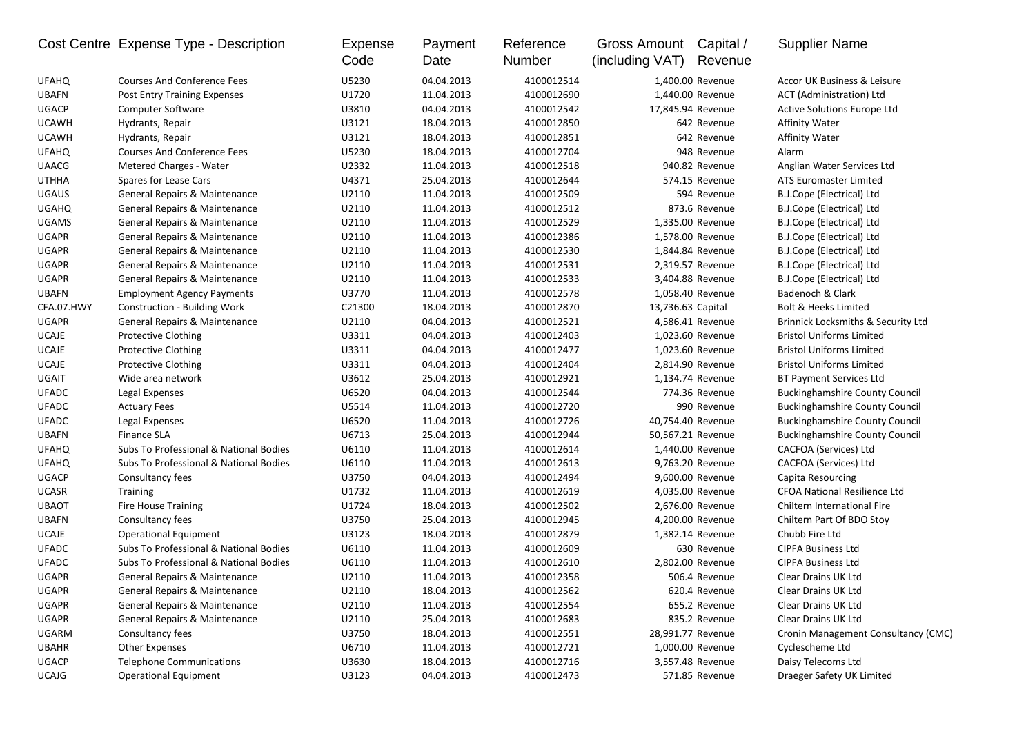|              | Cost Centre Expense Type - Description | Expense<br>Code | Payment<br>Date | Reference<br>Number | Gross Amount<br>(including VAT) | Capital /<br>Revenue | <b>Supplier Name</b>                          |
|--------------|----------------------------------------|-----------------|-----------------|---------------------|---------------------------------|----------------------|-----------------------------------------------|
| <b>UFAHQ</b> | <b>Courses And Conference Fees</b>     | U5230           | 04.04.2013      | 4100012514          |                                 | 1,400.00 Revenue     | Accor UK Business & Leisure                   |
| <b>UBAFN</b> | Post Entry Training Expenses           | U1720           | 11.04.2013      | 4100012690          |                                 | 1,440.00 Revenue     | ACT (Administration) Ltd                      |
| <b>UGACP</b> | Computer Software                      | U3810           | 04.04.2013      | 4100012542          |                                 | 17,845.94 Revenue    | Active Solutions Europe Ltd                   |
| <b>UCAWH</b> | Hydrants, Repair                       | U3121           | 18.04.2013      | 4100012850          |                                 | 642 Revenue          | <b>Affinity Water</b>                         |
| <b>UCAWH</b> | Hydrants, Repair                       | U3121           | 18.04.2013      | 4100012851          |                                 | 642 Revenue          | <b>Affinity Water</b>                         |
| <b>UFAHQ</b> | <b>Courses And Conference Fees</b>     | U5230           | 18.04.2013      | 4100012704          |                                 | 948 Revenue          | Alarm                                         |
| <b>UAACG</b> | Metered Charges - Water                | U2332           | 11.04.2013      | 4100012518          |                                 | 940.82 Revenue       | Anglian Water Services Ltd                    |
| <b>UTHHA</b> | Spares for Lease Cars                  | U4371           | 25.04.2013      | 4100012644          |                                 | 574.15 Revenue       | <b>ATS Euromaster Limited</b>                 |
| <b>UGAUS</b> | General Repairs & Maintenance          | U2110           | 11.04.2013      | 4100012509          |                                 | 594 Revenue          | B.J.Cope (Electrical) Ltd                     |
| <b>UGAHQ</b> | General Repairs & Maintenance          | U2110           | 11.04.2013      | 4100012512          |                                 | 873.6 Revenue        | B.J.Cope (Electrical) Ltd                     |
| <b>UGAMS</b> | General Repairs & Maintenance          | U2110           | 11.04.2013      | 4100012529          |                                 | 1,335.00 Revenue     | B.J.Cope (Electrical) Ltd                     |
| <b>UGAPR</b> | General Repairs & Maintenance          | U2110           | 11.04.2013      | 4100012386          |                                 | 1,578.00 Revenue     | B.J.Cope (Electrical) Ltd                     |
| <b>UGAPR</b> | General Repairs & Maintenance          | U2110           | 11.04.2013      | 4100012530          |                                 | 1,844.84 Revenue     | B.J.Cope (Electrical) Ltd                     |
| <b>UGAPR</b> | General Repairs & Maintenance          | U2110           | 11.04.2013      | 4100012531          |                                 | 2,319.57 Revenue     | B.J.Cope (Electrical) Ltd                     |
| <b>UGAPR</b> | General Repairs & Maintenance          | U2110           | 11.04.2013      | 4100012533          |                                 | 3,404.88 Revenue     | B.J.Cope (Electrical) Ltd                     |
| <b>UBAFN</b> | <b>Employment Agency Payments</b>      | U3770           | 11.04.2013      | 4100012578          |                                 | 1,058.40 Revenue     | Badenoch & Clark                              |
| CFA.07.HWY   | <b>Construction - Building Work</b>    | C21300          | 18.04.2013      | 4100012870          | 13,736.63 Capital               |                      | <b>Bolt &amp; Heeks Limited</b>               |
| <b>UGAPR</b> | General Repairs & Maintenance          | U2110           | 04.04.2013      | 4100012521          |                                 | 4,586.41 Revenue     | <b>Brinnick Locksmiths &amp; Security Ltd</b> |
| <b>UCAJE</b> | <b>Protective Clothing</b>             | U3311           | 04.04.2013      | 4100012403          |                                 | 1,023.60 Revenue     | <b>Bristol Uniforms Limited</b>               |
| <b>UCAJE</b> | <b>Protective Clothing</b>             | U3311           | 04.04.2013      | 4100012477          |                                 | 1,023.60 Revenue     | <b>Bristol Uniforms Limited</b>               |
| <b>UCAJE</b> | <b>Protective Clothing</b>             | U3311           | 04.04.2013      | 4100012404          |                                 | 2,814.90 Revenue     | <b>Bristol Uniforms Limited</b>               |
| UGAIT        | Wide area network                      | U3612           | 25.04.2013      | 4100012921          |                                 | 1,134.74 Revenue     | <b>BT Payment Services Ltd</b>                |
| <b>UFADC</b> | Legal Expenses                         | U6520           | 04.04.2013      | 4100012544          |                                 | 774.36 Revenue       | <b>Buckinghamshire County Council</b>         |
| <b>UFADC</b> | <b>Actuary Fees</b>                    | U5514           | 11.04.2013      | 4100012720          |                                 | 990 Revenue          | <b>Buckinghamshire County Council</b>         |
| <b>UFADC</b> | Legal Expenses                         | U6520           | 11.04.2013      | 4100012726          |                                 | 40,754.40 Revenue    | <b>Buckinghamshire County Council</b>         |
| <b>UBAFN</b> | <b>Finance SLA</b>                     | U6713           | 25.04.2013      | 4100012944          |                                 | 50,567.21 Revenue    | <b>Buckinghamshire County Council</b>         |
| <b>UFAHQ</b> | Subs To Professional & National Bodies | U6110           | 11.04.2013      | 4100012614          |                                 | 1,440.00 Revenue     | CACFOA (Services) Ltd                         |
| <b>UFAHQ</b> | Subs To Professional & National Bodies | U6110           | 11.04.2013      | 4100012613          |                                 | 9,763.20 Revenue     | CACFOA (Services) Ltd                         |
| <b>UGACP</b> | Consultancy fees                       | U3750           | 04.04.2013      | 4100012494          |                                 | 9,600.00 Revenue     | Capita Resourcing                             |
| <b>UCASR</b> | <b>Training</b>                        | U1732           | 11.04.2013      | 4100012619          |                                 | 4,035.00 Revenue     | <b>CFOA National Resilience Ltd</b>           |
| <b>UBAOT</b> | <b>Fire House Training</b>             | U1724           | 18.04.2013      | 4100012502          |                                 | 2,676.00 Revenue     | Chiltern International Fire                   |
| <b>UBAFN</b> | Consultancy fees                       | U3750           | 25.04.2013      | 4100012945          |                                 | 4,200.00 Revenue     | Chiltern Part Of BDO Stoy                     |
| <b>UCAJE</b> | <b>Operational Equipment</b>           | U3123           | 18.04.2013      | 4100012879          |                                 | 1,382.14 Revenue     | Chubb Fire Ltd                                |
| <b>UFADC</b> | Subs To Professional & National Bodies | U6110           | 11.04.2013      | 4100012609          |                                 | 630 Revenue          | <b>CIPFA Business Ltd</b>                     |
| <b>UFADC</b> | Subs To Professional & National Bodies | U6110           | 11.04.2013      | 4100012610          |                                 | 2,802.00 Revenue     | <b>CIPFA Business Ltd</b>                     |
| <b>UGAPR</b> | General Repairs & Maintenance          | U2110           | 11.04.2013      | 4100012358          |                                 | 506.4 Revenue        | Clear Drains UK Ltd                           |
| UGAPR        | General Repairs & Maintenance          | U2110           | 18.04.2013      | 4100012562          |                                 | 620.4 Revenue        | Clear Drains UK Ltd                           |
| UGAPR        | General Repairs & Maintenance          | U2110           | 11.04.2013      | 4100012554          |                                 | 655.2 Revenue        | Clear Drains UK Ltd                           |
| UGAPR        | General Repairs & Maintenance          | U2110           | 25.04.2013      | 4100012683          |                                 | 835.2 Revenue        | Clear Drains UK Ltd                           |
| UGARM        | Consultancy fees                       | U3750           | 18.04.2013      | 4100012551          |                                 | 28,991.77 Revenue    | Cronin Management Consultancy (CMC)           |
| <b>UBAHR</b> | <b>Other Expenses</b>                  | U6710           | 11.04.2013      | 4100012721          |                                 | 1,000.00 Revenue     | Cyclescheme Ltd                               |
| <b>UGACP</b> | <b>Telephone Communications</b>        | U3630           | 18.04.2013      | 4100012716          |                                 | 3,557.48 Revenue     | Daisy Telecoms Ltd                            |
| <b>UCAJG</b> | <b>Operational Equipment</b>           | U3123           | 04.04.2013      | 4100012473          |                                 | 571.85 Revenue       | Draeger Safety UK Limited                     |
|              |                                        |                 |                 |                     |                                 |                      |                                               |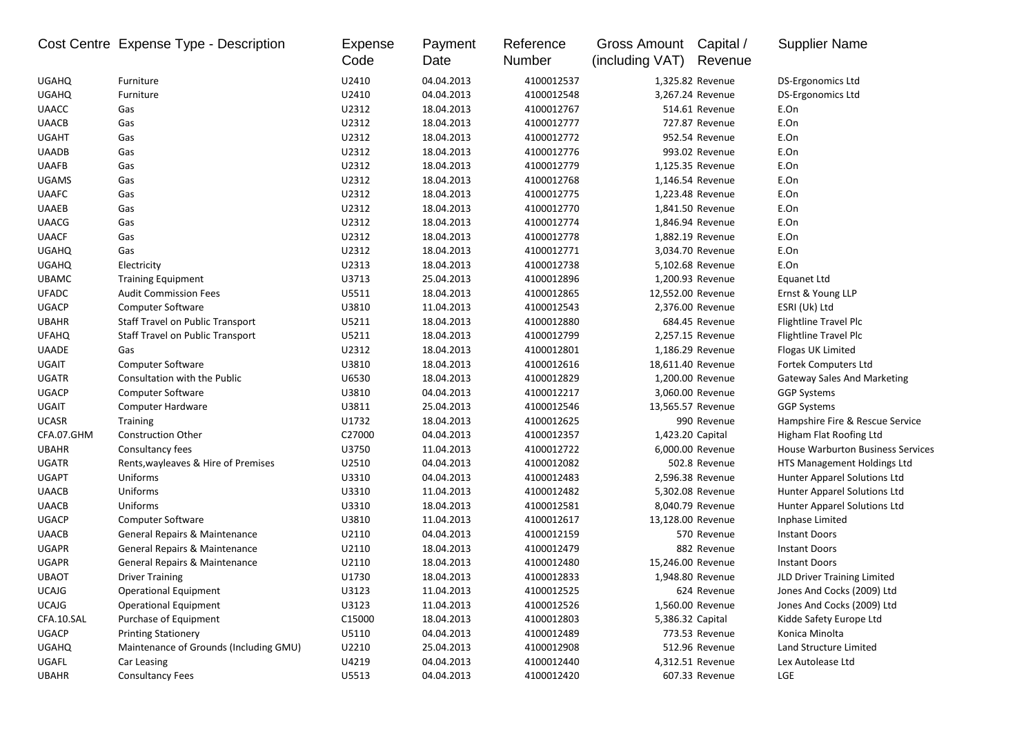|              | Cost Centre Expense Type - Description  | Expense<br>Code | Payment<br>Date | Reference<br>Number | Gross Amount Capital /<br>(including VAT) | Revenue           | <b>Supplier Name</b>                     |
|--------------|-----------------------------------------|-----------------|-----------------|---------------------|-------------------------------------------|-------------------|------------------------------------------|
| <b>UGAHQ</b> | Furniture                               | U2410           | 04.04.2013      | 4100012537          |                                           | 1,325.82 Revenue  | DS-Ergonomics Ltd                        |
| <b>UGAHQ</b> | Furniture                               | U2410           | 04.04.2013      | 4100012548          |                                           | 3,267.24 Revenue  | <b>DS-Ergonomics Ltd</b>                 |
| <b>UAACC</b> | Gas                                     | U2312           | 18.04.2013      | 4100012767          |                                           | 514.61 Revenue    | E.On                                     |
| <b>UAACB</b> | Gas                                     | U2312           | 18.04.2013      | 4100012777          |                                           | 727.87 Revenue    | E.On                                     |
| <b>UGAHT</b> | Gas                                     | U2312           | 18.04.2013      | 4100012772          |                                           | 952.54 Revenue    | E.On                                     |
| <b>UAADB</b> | Gas                                     | U2312           | 18.04.2013      | 4100012776          |                                           | 993.02 Revenue    | E.On                                     |
| <b>UAAFB</b> | Gas                                     | U2312           | 18.04.2013      | 4100012779          |                                           | 1,125.35 Revenue  | E.On                                     |
| <b>UGAMS</b> | Gas                                     | U2312           | 18.04.2013      | 4100012768          |                                           | 1,146.54 Revenue  | E.On                                     |
| <b>UAAFC</b> | Gas                                     | U2312           | 18.04.2013      | 4100012775          |                                           | 1,223.48 Revenue  | E.On                                     |
| <b>UAAEB</b> | Gas                                     | U2312           | 18.04.2013      | 4100012770          |                                           | 1,841.50 Revenue  | E.On                                     |
| <b>UAACG</b> | Gas                                     | U2312           | 18.04.2013      | 4100012774          |                                           | 1,846.94 Revenue  | E.On                                     |
| <b>UAACF</b> | Gas                                     | U2312           | 18.04.2013      | 4100012778          |                                           | 1,882.19 Revenue  | E.On                                     |
| <b>UGAHQ</b> | Gas                                     | U2312           | 18.04.2013      | 4100012771          |                                           | 3,034.70 Revenue  | E.On                                     |
| <b>UGAHQ</b> | Electricity                             | U2313           | 18.04.2013      | 4100012738          |                                           | 5,102.68 Revenue  | E.On                                     |
| <b>UBAMC</b> | <b>Training Equipment</b>               | U3713           | 25.04.2013      | 4100012896          |                                           | 1,200.93 Revenue  | Equanet Ltd                              |
| <b>UFADC</b> | <b>Audit Commission Fees</b>            | U5511           | 18.04.2013      | 4100012865          |                                           | 12,552.00 Revenue | Ernst & Young LLP                        |
| <b>UGACP</b> | <b>Computer Software</b>                | U3810           | 11.04.2013      | 4100012543          |                                           | 2,376.00 Revenue  | ESRI (Uk) Ltd                            |
| <b>UBAHR</b> | Staff Travel on Public Transport        | U5211           | 18.04.2013      | 4100012880          |                                           | 684.45 Revenue    | Flightline Travel Plc                    |
| <b>UFAHQ</b> | <b>Staff Travel on Public Transport</b> | U5211           | 18.04.2013      | 4100012799          |                                           | 2,257.15 Revenue  | Flightline Travel Plc                    |
| <b>UAADE</b> | Gas                                     | U2312           | 18.04.2013      | 4100012801          |                                           | 1,186.29 Revenue  | Flogas UK Limited                        |
| UGAIT        | <b>Computer Software</b>                | U3810           | 18.04.2013      | 4100012616          |                                           | 18,611.40 Revenue | Fortek Computers Ltd                     |
| UGATR        | Consultation with the Public            | U6530           | 18.04.2013      | 4100012829          |                                           | 1,200.00 Revenue  | <b>Gateway Sales And Marketing</b>       |
| <b>UGACP</b> | <b>Computer Software</b>                | U3810           | 04.04.2013      | 4100012217          |                                           | 3,060.00 Revenue  | <b>GGP Systems</b>                       |
| UGAIT        | Computer Hardware                       | U3811           | 25.04.2013      | 4100012546          |                                           | 13,565.57 Revenue | <b>GGP Systems</b>                       |
| <b>UCASR</b> | <b>Training</b>                         | U1732           | 18.04.2013      | 4100012625          |                                           | 990 Revenue       | Hampshire Fire & Rescue Service          |
| CFA.07.GHM   | <b>Construction Other</b>               | C27000          | 04.04.2013      | 4100012357          | 1,423.20 Capital                          |                   | Higham Flat Roofing Ltd                  |
| <b>UBAHR</b> | Consultancy fees                        | U3750           | 11.04.2013      | 4100012722          |                                           | 6,000.00 Revenue  | <b>House Warburton Business Services</b> |
| <b>UGATR</b> | Rents, wayleaves & Hire of Premises     | U2510           | 04.04.2013      | 4100012082          |                                           | 502.8 Revenue     | HTS Management Holdings Ltd              |
| <b>UGAPT</b> | Uniforms                                | U3310           | 04.04.2013      | 4100012483          |                                           | 2,596.38 Revenue  | Hunter Apparel Solutions Ltd             |
| <b>UAACB</b> | Uniforms                                | U3310           | 11.04.2013      | 4100012482          |                                           | 5,302.08 Revenue  | Hunter Apparel Solutions Ltd             |
| <b>UAACB</b> | Uniforms                                | U3310           | 18.04.2013      | 4100012581          |                                           | 8,040.79 Revenue  | Hunter Apparel Solutions Ltd             |
| <b>UGACP</b> | Computer Software                       | U3810           | 11.04.2013      | 4100012617          |                                           | 13,128.00 Revenue | Inphase Limited                          |
| <b>UAACB</b> | General Repairs & Maintenance           | U2110           | 04.04.2013      | 4100012159          |                                           | 570 Revenue       | <b>Instant Doors</b>                     |
| <b>UGAPR</b> | General Repairs & Maintenance           | U2110           | 18.04.2013      | 4100012479          |                                           | 882 Revenue       | <b>Instant Doors</b>                     |
| UGAPR        | General Repairs & Maintenance           | U2110           | 18.04.2013      | 4100012480          |                                           | 15,246.00 Revenue | <b>Instant Doors</b>                     |
| <b>UBAOT</b> | <b>Driver Training</b>                  | U1730           | 18.04.2013      | 4100012833          |                                           | 1,948.80 Revenue  | JLD Driver Training Limited              |
| <b>UCAJG</b> | <b>Operational Equipment</b>            | U3123           | 11.04.2013      | 4100012525          |                                           | 624 Revenue       | Jones And Cocks (2009) Ltd               |
| <b>UCAJG</b> | <b>Operational Equipment</b>            | U3123           | 11.04.2013      | 4100012526          |                                           | 1,560.00 Revenue  | Jones And Cocks (2009) Ltd               |
| CFA.10.SAL   | Purchase of Equipment                   | C15000          | 18.04.2013      | 4100012803          | 5,386.32 Capital                          |                   | Kidde Safety Europe Ltd                  |
| <b>UGACP</b> | <b>Printing Stationery</b>              | U5110           | 04.04.2013      | 4100012489          |                                           | 773.53 Revenue    | Konica Minolta                           |
| <b>UGAHQ</b> | Maintenance of Grounds (Including GMU)  | U2210           | 25.04.2013      | 4100012908          |                                           | 512.96 Revenue    | Land Structure Limited                   |
| UGAFL        | Car Leasing                             | U4219           | 04.04.2013      | 4100012440          |                                           | 4,312.51 Revenue  | Lex Autolease Ltd                        |
| <b>UBAHR</b> | <b>Consultancy Fees</b>                 | U5513           | 04.04.2013      | 4100012420          |                                           | 607.33 Revenue    | LGE                                      |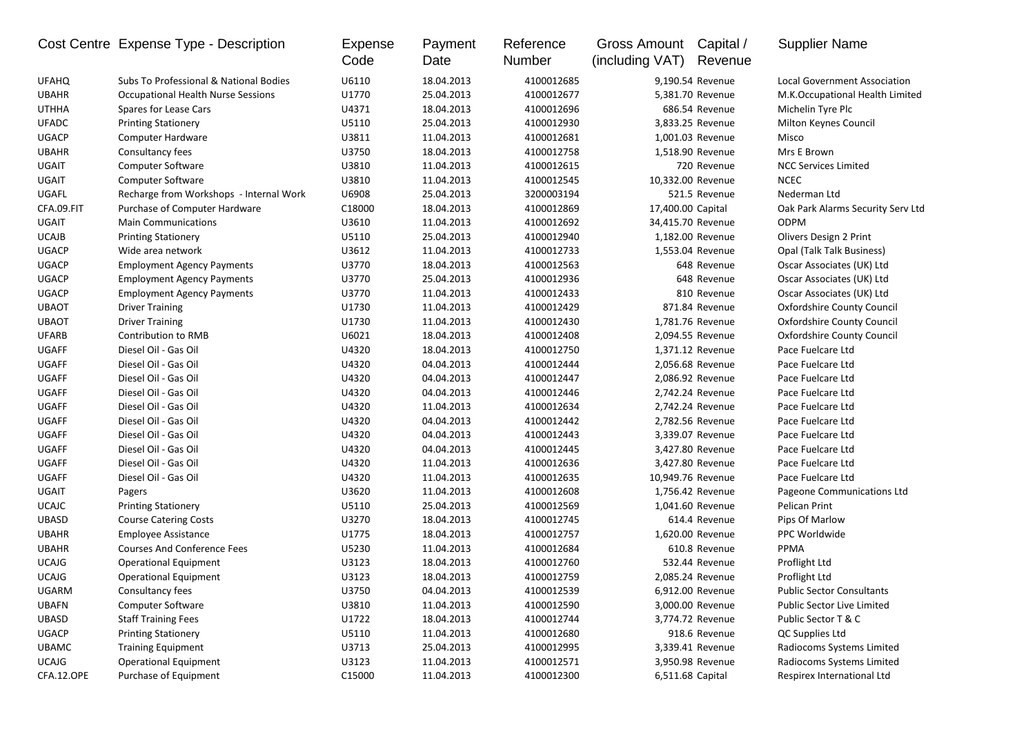|              | Cost Centre Expense Type - Description    | Expense<br>Code | Payment<br>Date | Reference<br>Number | Gross Amount<br>(including VAT) | Capital /<br>Revenue | <b>Supplier Name</b>                |
|--------------|-------------------------------------------|-----------------|-----------------|---------------------|---------------------------------|----------------------|-------------------------------------|
| <b>UFAHQ</b> | Subs To Professional & National Bodies    | U6110           | 18.04.2013      | 4100012685          |                                 | 9,190.54 Revenue     | <b>Local Government Association</b> |
| <b>UBAHR</b> | <b>Occupational Health Nurse Sessions</b> | U1770           | 25.04.2013      | 4100012677          |                                 | 5,381.70 Revenue     | M.K.Occupational Health Limited     |
| <b>UTHHA</b> | Spares for Lease Cars                     | U4371           | 18.04.2013      | 4100012696          |                                 | 686.54 Revenue       | Michelin Tyre Plc                   |
| <b>UFADC</b> | <b>Printing Stationery</b>                | U5110           | 25.04.2013      | 4100012930          |                                 | 3,833.25 Revenue     | Milton Keynes Council               |
| <b>UGACP</b> | Computer Hardware                         | U3811           | 11.04.2013      | 4100012681          |                                 | 1,001.03 Revenue     | Misco                               |
| <b>UBAHR</b> | Consultancy fees                          | U3750           | 18.04.2013      | 4100012758          |                                 | 1,518.90 Revenue     | Mrs E Brown                         |
| UGAIT        | <b>Computer Software</b>                  | U3810           | 11.04.2013      | 4100012615          |                                 | 720 Revenue          | <b>NCC Services Limited</b>         |
| UGAIT        | <b>Computer Software</b>                  | U3810           | 11.04.2013      | 4100012545          |                                 | 10,332.00 Revenue    | <b>NCEC</b>                         |
| UGAFL        | Recharge from Workshops - Internal Work   | U6908           | 25.04.2013      | 3200003194          |                                 | 521.5 Revenue        | Nederman Ltd                        |
| CFA.09.FIT   | Purchase of Computer Hardware             | C18000          | 18.04.2013      | 4100012869          | 17,400.00 Capital               |                      | Oak Park Alarms Security Serv Ltd   |
| UGAIT        | <b>Main Communications</b>                | U3610           | 11.04.2013      | 4100012692          |                                 | 34,415.70 Revenue    | <b>ODPM</b>                         |
| <b>UCAJB</b> | <b>Printing Stationery</b>                | U5110           | 25.04.2013      | 4100012940          |                                 | 1,182.00 Revenue     | Olivers Design 2 Print              |
| <b>UGACP</b> | Wide area network                         | U3612           | 11.04.2013      | 4100012733          |                                 | 1,553.04 Revenue     | Opal (Talk Talk Business)           |
| <b>UGACP</b> | <b>Employment Agency Payments</b>         | U3770           | 18.04.2013      | 4100012563          |                                 | 648 Revenue          | Oscar Associates (UK) Ltd           |
| <b>UGACP</b> | <b>Employment Agency Payments</b>         | U3770           | 25.04.2013      | 4100012936          |                                 | 648 Revenue          | Oscar Associates (UK) Ltd           |
| <b>UGACP</b> | <b>Employment Agency Payments</b>         | U3770           | 11.04.2013      | 4100012433          |                                 | 810 Revenue          | Oscar Associates (UK) Ltd           |
| <b>UBAOT</b> | <b>Driver Training</b>                    | U1730           | 11.04.2013      | 4100012429          |                                 | 871.84 Revenue       | <b>Oxfordshire County Council</b>   |
| <b>UBAOT</b> | <b>Driver Training</b>                    | U1730           | 11.04.2013      | 4100012430          |                                 | 1,781.76 Revenue     | Oxfordshire County Council          |
| <b>UFARB</b> | Contribution to RMB                       | U6021           | 18.04.2013      | 4100012408          |                                 | 2,094.55 Revenue     | <b>Oxfordshire County Council</b>   |
| <b>UGAFF</b> | Diesel Oil - Gas Oil                      | U4320           | 18.04.2013      | 4100012750          |                                 | 1,371.12 Revenue     | Pace Fuelcare Ltd                   |
| <b>UGAFF</b> | Diesel Oil - Gas Oil                      | U4320           | 04.04.2013      | 4100012444          |                                 | 2,056.68 Revenue     | Pace Fuelcare Ltd                   |
| <b>UGAFF</b> | Diesel Oil - Gas Oil                      | U4320           | 04.04.2013      | 4100012447          |                                 | 2,086.92 Revenue     | Pace Fuelcare Ltd                   |
| <b>UGAFF</b> | Diesel Oil - Gas Oil                      | U4320           | 04.04.2013      | 4100012446          |                                 | 2,742.24 Revenue     | Pace Fuelcare Ltd                   |
| <b>UGAFF</b> | Diesel Oil - Gas Oil                      | U4320           | 11.04.2013      | 4100012634          |                                 | 2,742.24 Revenue     | Pace Fuelcare Ltd                   |
| <b>UGAFF</b> | Diesel Oil - Gas Oil                      | U4320           | 04.04.2013      | 4100012442          |                                 | 2,782.56 Revenue     | Pace Fuelcare Ltd                   |
| <b>UGAFF</b> | Diesel Oil - Gas Oil                      | U4320           | 04.04.2013      | 4100012443          |                                 | 3,339.07 Revenue     | Pace Fuelcare Ltd                   |
| <b>UGAFF</b> | Diesel Oil - Gas Oil                      | U4320           | 04.04.2013      | 4100012445          |                                 | 3,427.80 Revenue     | Pace Fuelcare Ltd                   |
| <b>UGAFF</b> | Diesel Oil - Gas Oil                      | U4320           | 11.04.2013      | 4100012636          |                                 | 3,427.80 Revenue     | Pace Fuelcare Ltd                   |
| <b>UGAFF</b> | Diesel Oil - Gas Oil                      | U4320           | 11.04.2013      | 4100012635          |                                 | 10,949.76 Revenue    | Pace Fuelcare Ltd                   |
| UGAIT        | Pagers                                    | U3620           | 11.04.2013      | 4100012608          |                                 | 1,756.42 Revenue     | Pageone Communications Ltd          |
| <b>UCAJC</b> | <b>Printing Stationery</b>                | U5110           | 25.04.2013      | 4100012569          |                                 | 1,041.60 Revenue     | Pelican Print                       |
| <b>UBASD</b> | <b>Course Catering Costs</b>              | U3270           | 18.04.2013      | 4100012745          |                                 | 614.4 Revenue        | Pips Of Marlow                      |
| <b>UBAHR</b> | <b>Employee Assistance</b>                | U1775           | 18.04.2013      | 4100012757          |                                 | 1,620.00 Revenue     | PPC Worldwide                       |
| <b>UBAHR</b> | <b>Courses And Conference Fees</b>        | U5230           | 11.04.2013      | 4100012684          |                                 | 610.8 Revenue        | PPMA                                |
| <b>UCAJG</b> | <b>Operational Equipment</b>              | U3123           | 18.04.2013      | 4100012760          |                                 | 532.44 Revenue       | Proflight Ltd                       |
| <b>UCAJG</b> | <b>Operational Equipment</b>              | U3123           | 18.04.2013      | 4100012759          |                                 | 2,085.24 Revenue     | Proflight Ltd                       |
| UGARM        | Consultancy fees                          | U3750           | 04.04.2013      | 4100012539          |                                 | 6,912.00 Revenue     | <b>Public Sector Consultants</b>    |
| <b>UBAFN</b> | <b>Computer Software</b>                  | U3810           | 11.04.2013      | 4100012590          |                                 | 3,000.00 Revenue     | Public Sector Live Limited          |
| UBASD        | <b>Staff Training Fees</b>                | U1722           | 18.04.2013      | 4100012744          |                                 | 3,774.72 Revenue     | Public Sector T & C                 |
| UGACP        | <b>Printing Stationery</b>                | U5110           | 11.04.2013      | 4100012680          |                                 | 918.6 Revenue        | QC Supplies Ltd                     |
| <b>UBAMC</b> | <b>Training Equipment</b>                 | U3713           | 25.04.2013      | 4100012995          |                                 | 3,339.41 Revenue     | Radiocoms Systems Limited           |
| <b>UCAJG</b> | <b>Operational Equipment</b>              | U3123           | 11.04.2013      | 4100012571          |                                 | 3,950.98 Revenue     | Radiocoms Systems Limited           |
| CFA.12.OPE   | Purchase of Equipment                     | C15000          | 11.04.2013      | 4100012300          |                                 | 6,511.68 Capital     | Respirex International Ltd          |